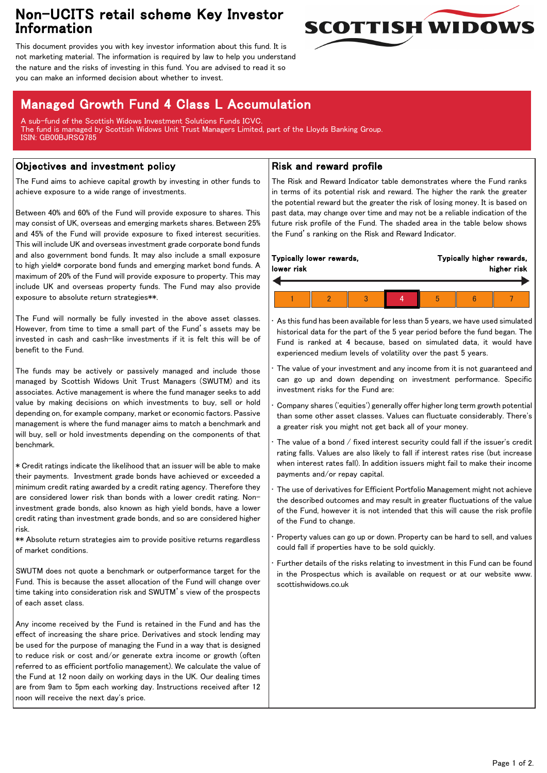# Non-UCITS retail scheme Key Investor Information



This document provides you with key investor information about this fund. It is not marketing material. The information is required by law to help you understand the nature and the risks of investing in this fund. You are advised to read it so you can make an informed decision about whether to invest.

# Managed Growth Fund 4 Class L Accumulation

A sub-fund of the Scottish Widows Investment Solutions Funds ICVC. The fund is managed by Scottish Widows Unit Trust Managers Limited, part of the Lloyds Banking Group. ISIN: GB00BJRSQ785

## Objectives and investment policy

The Fund aims to achieve capital growth by investing in other funds to achieve exposure to a wide range of investments.

Between 40% and 60% of the Fund will provide exposure to shares. This may consist of UK, overseas and emerging markets shares. Between 25% and 45% of the Fund will provide exposure to fixed interest securities. This will include UK and overseas investment grade corporate bond funds and also government bond funds. It may also include a small exposure to high yield\* corporate bond funds and emerging market bond funds. A maximum of 20% of the Fund will provide exposure to property. This may include UK and overseas property funds. The Fund may also provide exposure to absolute return strategies\*\*.

The Fund will normally be fully invested in the above asset classes. However, from time to time a small part of the Fund's assets may be invested in cash and cash-like investments if it is felt this will be of benefit to the Fund.

The funds may be actively or passively managed and include those managed by Scottish Widows Unit Trust Managers (SWUTM) and its associates. Active management is where the fund manager seeks to add value by making decisions on which investments to buy, sell or hold depending on, for example company, market or economic factors. Passive management is where the fund manager aims to match a benchmark and will buy, sell or hold investments depending on the components of that benchmark.

\* Credit ratings indicate the likelihood that an issuer will be able to make their payments. Investment grade bonds have achieved or exceeded a minimum credit rating awarded by a credit rating agency. Therefore they are considered lower risk than bonds with a lower credit rating. Noninvestment grade bonds, also known as high yield bonds, have a lower credit rating than investment grade bonds, and so are considered higher risk.

\*\* Absolute return strategies aim to provide positive returns regardless of market conditions.

SWUTM does not quote a benchmark or outperformance target for the Fund. This is because the asset allocation of the Fund will change over time taking into consideration risk and SWUTM's view of the prospects of each asset class.

Any income received by the Fund is retained in the Fund and has the effect of increasing the share price. Derivatives and stock lending may be used for the purpose of managing the Fund in a way that is designed to reduce risk or cost and/or generate extra income or growth (often referred to as efficient portfolio management). We calculate the value of the Fund at 12 noon daily on working days in the UK. Our dealing times are from 9am to 5pm each working day. Instructions received after 12 noon will receive the next day's price.

### Risk and reward profile

The Risk and Reward Indicator table demonstrates where the Fund ranks in terms of its potential risk and reward. The higher the rank the greater the potential reward but the greater the risk of losing money. It is based on past data, may change over time and may not be a reliable indication of the future risk profile of the Fund. The shaded area in the table below shows the Fund's ranking on the Risk and Reward Indicator.

|  | lower risk | Typically lower rewards, | Typically higher rewards,<br>higher risk |  |   |  |  |  |
|--|------------|--------------------------|------------------------------------------|--|---|--|--|--|
|  |            |                          |                                          |  |   |  |  |  |
|  |            |                          |                                          |  | b |  |  |  |

As this fund has been available for less than 5 years, we have used simulated historical data for the part of the 5 year period before the fund began. The Fund is ranked at 4 because, based on simulated data, it would have experienced medium levels of volatility over the past 5 years.

The value of your investment and any income from it is not guaranteed and can go up and down depending on investment performance. Specific investment risks for the Fund are:

• Company shares ('equities') generally offer higher long term growth potential than some other asset classes. Values can fluctuate considerably. There's a greater risk you might not get back all of your money.

The value of a bond  $/$  fixed interest security could fall if the issuer's credit rating falls. Values are also likely to fall if interest rates rise (but increase when interest rates fall). In addition issuers might fail to make their income payments and/or repay capital.

The use of derivatives for Efficient Portfolio Management might not achieve the described outcomes and may result in greater fluctuations of the value of the Fund, however it is not intended that this will cause the risk profile of the Fund to change.

• Property values can go up or down. Property can be hard to sell, and values could fall if properties have to be sold quickly.

Further details of the risks relating to investment in this Fund can be found in the Prospectus which is available on request or at our website www. scottishwidows.co.uk